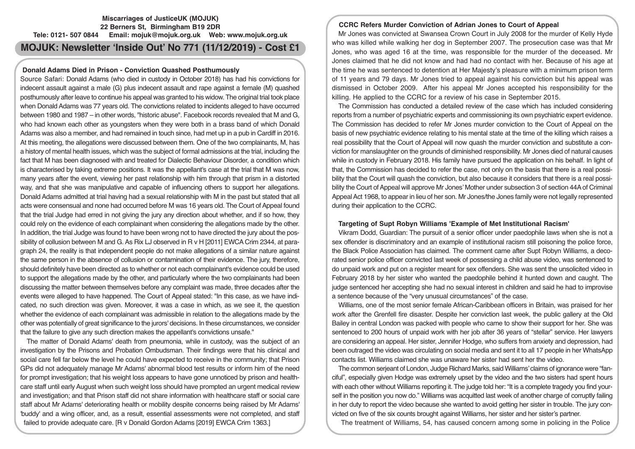# **Miscarriages of JusticeUK (MOJUK) 22 Berners St, Birmingham B19 2DR Tele: 0121- 507 0844 Email: mojuk@mojuk.org.uk Web: www.mojuk.org.uk**

# **MOJUK: Newsletter 'Inside Out' No 771 (11/12/2019) - Cost £1**

# **Donald Adams Died in Prison - Conviction Quashed Posthumously**

Source Safari: Donald Adams (who died in custody in October 2018) has had his convictions for indecent assault against a male (G) plus indecent assault and rape against a female (M) quashed posthumously after leave to continue his appeal was granted to his widow. The original trial took place when Donald Adams was 77 years old. The convictions related to incidents alleged to have occurred between 1980 and 1987 – in other words, "historic abuse". Facebook records revealed that M and G, who had known each other as youngsters when they were both in a brass band of which Donald Adams was also a member, and had remained in touch since, had met up in a pub in Cardiff in 2016. At this meeting, the allegations were discussed between them. One of the two complainants, M, has a history of mental health issues, which was the subject of formal admissions at the trial, including the fact that M has been diagnosed with and treated for Dialectic Behaviour Disorder, a condition which is characterised by taking extreme positions. It was the appellant's case at the trial that M was now, many years after the event, viewing her past relationship with him through that prism in a distorted way, and that she was manipulative and capable of influencing others to support her allegations. Donald Adams admitted at trial having had a sexual relationship with M in the past but stated that all acts were consensual and none had occurred before M was 16 years old. The Court of Appeal found that the trial Judge had erred in not giving the jury any direction about whether, and if so how, they could rely on the evidence of each complainant when considering the allegations made by the other. In addition, the trial Judge was found to have been wrong not to have directed the jury about the possibility of collusion between M and G. As Rix LJ observed in R v H [2011] EWCA Crim 2344, at paragraph 24, the reality is that independent people do not make allegations of a similar nature against the same person in the absence of collusion or contamination of their evidence. The jury, therefore, should definitely have been directed as to whether or not each complainant's evidence could be used to support the allegations made by the other, and particularly where the two complainants had been discussing the matter between themselves before any complaint was made, three decades after the events were alleged to have happened. The Court of Appeal stated: "In this case, as we have indicated, no such direction was given. Moreover, it was a case in which, as we see it, the question whether the evidence of each complainant was admissible in relation to the allegations made by the other was potentially of great significance to the jurors' decisions. In these circumstances, we consider that the failure to give any such direction makes the appellant's convictions unsafe."

The matter of Donald Adams' death from pneumonia, while in custody, was the subject of an investigation by the Prisons and Probation Ombudsman. Their findings were that his clinical and social care fell far below the level he could have expected to receive in the community; that Prison GPs did not adequately manage Mr Adams' abnormal blood test results or inform him of the need for prompt investigation; that his weight loss appears to have gone unnoticed by prison and healthcare staff until early August when such weight loss should have prompted an urgent medical review and investigation; and that Prison staff did not share information with healthcare staff or social care staff about Mr Adams' deteriorating health or mobility despite concerns being raised by Mr Adams' 'buddy' and a wing officer, and, as a result, essential assessments were not completed, and staff failed to provide adequate care. [R v Donald Gordon Adams [2019] EWCA Crim 1363.]

# **CCRC Refers Murder Conviction of Adrian Jones to Court of Appeal**

Mr Jones was convicted at Swansea Crown Court in July 2008 for the murder of Kelly Hyde who was killed while walking her dog in September 2007. The prosecution case was that Mr Jones, who was aged 16 at the time, was responsible for the murder of the deceased. Mr Jones claimed that he did not know and had had no contact with her. Because of his age at the time he was sentenced to detention at Her Majesty's pleasure with a minimum prison term of 11 years and 79 days. Mr Jones tried to appeal against his conviction but his appeal was dismissed in October 2009. After his appeal Mr Jones accepted his responsibility for the killing. He applied to the CCRC for a review of his case in September 2015.

The Commission has conducted a detailed review of the case which has included considering reports from a number of psychiatric experts and commissioning its own psychiatric expert evidence. The Commission has decided to refer Mr Jones murder conviction to the Court of Appeal on the basis of new psychiatric evidence relating to his mental state at the time of the killing which raises a real possibility that the Court of Appeal will now quash the murder conviction and substitute a conviction for manslaughter on the grounds of diminished responsibility. Mr Jones died of natural causes while in custody in February 2018. His family have pursued the application on his behalf. In light of that, the Commission has decided to refer the case, not only on the basis that there is a real possibility that the Court will quash the conviction, but also because it considers that there is a real possibility the Court of Appeal will approve Mr Jones' Mother under subsection 3 of section 44A of Criminal Appeal Act 1968, to appear in lieu of her son. Mr Jones/the Jones family were not legally represented during their application to the CCRC.

# **Targeting of Supt Robyn Williams 'Example of Met Institutional Racism'**

Vikram Dodd, Guardian: The pursuit of a senior officer under paedophile laws when she is not a sex offender is discriminatory and an example of institutional racism still poisoning the police force, the Black Police Association has claimed. The comment came after Supt Robyn Williams, a decorated senior police officer convicted last week of possessing a child abuse video, was sentenced to do unpaid work and put on a register meant for sex offenders. She was sent the unsolicited video in February 2018 by her sister who wanted the paedophile behind it hunted down and caught. The judge sentenced her accepting she had no sexual interest in children and said he had to improvise a sentence because of the "very unusual circumstances" of the case.

Williams, one of the most senior female African-Caribbean officers in Britain, was praised for her work after the Grenfell fire disaster. Despite her conviction last week, the public gallery at the Old Bailey in central London was packed with people who came to show their support for her. She was sentenced to 200 hours of unpaid work with her job after 36 years of "stellar" service. Her lawyers are considering an appeal. Her sister, Jennifer Hodge, who suffers from anxiety and depression, had been outraged the video was circulating on social media and sent it to all 17 people in her WhatsApp contacts list. Williams claimed she was unaware her sister had sent her the video.

The common serjeant of London, Judge Richard Marks, said Williams' claims of ignorance were "fanciful", especially given Hodge was extremely upset by the video and the two sisters had spent hours with each other without Williams reporting it. The judge told her: "It is a complete tragedy you find yourself in the position you now do." Williams was acquitted last week of another charge of corruptly failing in her duty to report the video because she wanted to avoid getting her sister in trouble. The jury convicted on five of the six counts brought against Williams, her sister and her sister's partner.

The treatment of Williams, 54, has caused concern among some in policing in the Police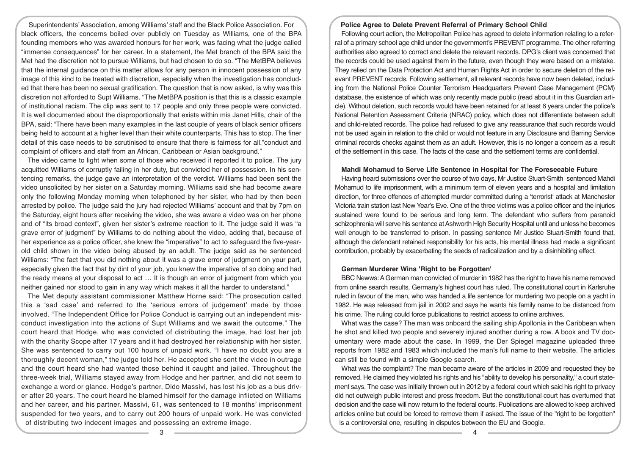Superintendents' Association, among Williams' staff and the Black Police Association. For black officers, the concerns boiled over publicly on Tuesday as Williams, one of the BPA founding members who was awarded honours for her work, was facing what the judge called "immense consequences" for her career. In a statement, the Met branch of the BPA said the Met had the discretion not to pursue Williams, but had chosen to do so. "The MetBPA believes that the internal guidance on this matter allows for any person in innocent possession of any image of this kind to be treated with discretion, especially when the investigation has concluded that there has been no sexual gratification. The question that is now asked, is why was this discretion not afforded to Supt Williams. "The MetBPA position is that this is a classic example of institutional racism. The clip was sent to 17 people and only three people were convicted. It is well documented about the disproportionally that exists within mis Janet Hills, chair of the BPA, said: "There have been many examples in the last couple of years of black senior officers being held to account at a higher level than their white counterparts. This has to stop. The finer detail of this case needs to be scrutinised to ensure that there is fairness for all."conduct and complaint of officers and staff from an African, Caribbean or Asian background."

The video came to light when some of those who received it reported it to police. The jury acquitted Williams of corruptly failing in her duty, but convicted her of possession. In his sentencing remarks, the judge gave an interpretation of the verdict. Williams had been sent the video unsolicited by her sister on a Saturday morning. Williams said she had become aware only the following Monday morning when telephoned by her sister, who had by then been arrested by police. The judge said the jury had rejected Williams' account and that by 7pm on the Saturday, eight hours after receiving the video, she was aware a video was on her phone and of "its broad context", given her sister's extreme reaction to it. The judge said it was "a grave error of judgment" by Williams to do nothing about the video, adding that, because of her experience as a police officer, she knew the "imperative" to act to safeguard the five-yearold child shown in the video being abused by an adult. The judge said as he sentenced Williams: "The fact that you did nothing about it was a grave error of judgment on your part, especially given the fact that by dint of your job, you knew the imperative of so doing and had the ready means at your disposal to act … It is though an error of judgment from which you neither gained nor stood to gain in any way which makes it all the harder to understand."

The Met deputy assistant commissioner Matthew Horne said: "The prosecution called this a 'sad case' and referred to the 'serious errors of judgement' made by those involved. "The Independent Office for Police Conduct is carrying out an independent misconduct investigation into the actions of Supt Williams and we await the outcome." The court heard that Hodge, who was convicted of distributing the image, had lost her job with the charity Scope after 17 years and it had destroyed her relationship with her sister. She was sentenced to carry out 100 hours of unpaid work. "I have no doubt you are a thoroughly decent woman," the judge told her. He accepted she sent the video in outrage and the court heard she had wanted those behind it caught and jailed. Throughout the three-week trial, Williams stayed away from Hodge and her partner, and did not seem to exchange a word or glance. Hodge's partner, Dido Massivi, has lost his job as a bus driver after 20 years. The court heard he blamed himself for the damage inflicted on Williams and her career, and his partner. Massivi, 61, was sentenced to 18 months' imprisonment suspended for two years, and to carry out 200 hours of unpaid work. He was convicted of distributing two indecent images and possessing an extreme image.

#### **Police Agree to Delete Prevent Referral of Primary School Child**

Following court action, the Metropolitan Police has agreed to delete information relating to a referral of a primary school age child under the government's PREVENT programme. The other referring authorities also agreed to correct and delete the relevant records. DPG's client was concerned that the records could be used against them in the future, even though they were based on a mistake. They relied on the Data Protection Act and Human Rights Act in order to secure deletion of the relevant PREVENT records. Following settlement, all relevant records have now been deleted, including from the National Police Counter Terrorism Headquarters Prevent Case Management (PCM) database, the existence of which was only recently made public (read about it in this Guardian article). Without deletion, such records would have been retained for at least 6 years under the police's National Retention Assessment Criteria (NRAC) policy, which does not differentiate between adult and child-related records. The police had refused to give any reassurance that such records would not be used again in relation to the child or would not feature in any Disclosure and Barring Service criminal records checks against them as an adult. However, this is no longer a concern as a result of the settlement in this case. The facts of the case and the settlement terms are confidential.

#### **Mahdi Mohamud to Serve Life Sentence in Hospital for The Foreseeable Future**

Having heard submissions over the course of two days, Mr Justice Stuart-Smith sentenced Mahdi Mohamud to life imprisonment, with a minimum term of eleven years and a hospital and limitation direction, for three offences of attempted murder committed during a 'terrorist' attack at Manchester Victoria train station last New Year's Eve. One of the three victims was a police officer and the injuries sustained were found to be serious and long term. The defendant who suffers from paranoid schizophrenia will serve his sentence at Ashworth High Security Hospital until and unless he becomes well enough to be transferred to prison. In passing sentence Mr Justice Stuart-Smith found that, although the defendant retained responsibility for his acts, his mental illness had made a significant contribution, probably by exacerbating the seeds of radicalization and by a disinhibiting effect.

#### **German Murderer Wins 'Right to be Forgotten'**

BBC Newws: A German man convicted of murder in 1982 has the right to have his name removed from online search results, Germany's highest court has ruled. The constitutional court in Karlsruhe ruled in favour of the man, who was handed a life sentence for murdering two people on a yacht in 1982. He was released from jail in 2002 and says he wants his family name to be distanced from his crime. The ruling could force publications to restrict access to online archives.

What was the case? The man was onboard the sailing ship Apollonia in the Caribbean when he shot and killed two people and severely injured another during a row. A book and TV documentary were made about the case. In 1999, the Der Spiegel magazine uploaded three reports from 1982 and 1983 which included the man's full name to their website. The articles can still be found with a simple Google search.

What was the complaint? The man became aware of the articles in 2009 and requested they be removed. He claimed they violated his rights and his "ability to develop his personality," a court statement says. The case was initially thrown out in 2012 by a federal court which said his right to privacy did not outweigh public interest and press freedom. But the constitutional court has overturned that decision and the case will now return to the federal courts. Publications are allowed to keep archived articles online but could be forced to remove them if asked. The issue of the "right to be forgotten" is a controversial one, resulting in disputes between the EU and Google.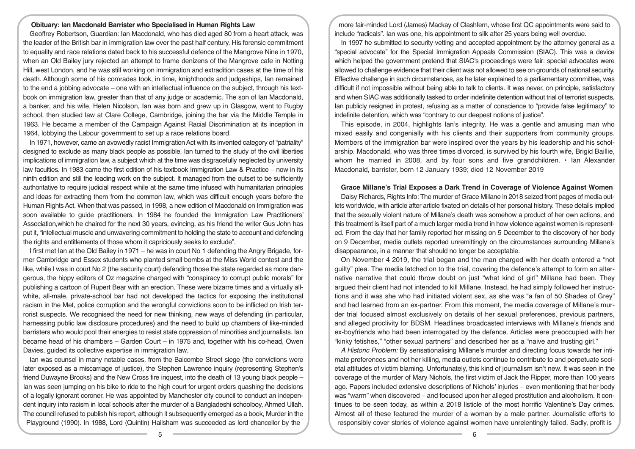#### **Obituary: Ian Macdonald Barrister who Specialised in Human Rights Law**

Geoffrey Robertson, Guardian: Ian Macdonald, who has died aged 80 from a heart attack, was the leader of the British bar in immigration law over the past half century. His forensic commitment to equality and race relations dated back to his successful defence of the Mangrove Nine in 1970, when an Old Bailey jury rejected an attempt to frame denizens of the Mangrove cafe in Notting Hill, west London, and he was still working on immigration and extradition cases at the time of his death. Although some of his comrades took, in time, knighthoods and judgeships, Ian remained to the end a jobbing advocate – one with an intellectual influence on the subject, through his textbook on immigration law, greater than that of any judge or academic. The son of Ian Macdonald, a banker, and his wife, Helen Nicolson, Ian was born and grew up in Glasgow, went to Rugby school, then studied law at Clare College, Cambridge, joining the bar via the Middle Temple in 1963. He became a member of the Campaign Against Racial Discrimination at its inception in 1964, lobbying the Labour government to set up a race relations board.

In 1971, however, came an avowedly racist Immigration Act with its invented category of "patriality" designed to exclude as many black people as possible. Ian turned to the study of the civil liberties implications of immigration law, a subject which at the time was disgracefully neglected by university law faculties. In 1983 came the first edition of his textbook Immigration Law & Practice – now in its ninth edition and still the leading work on the subject. It managed from the outset to be sufficiently authoritative to require judicial respect while at the same time infused with humanitarian principles and ideas for extracting them from the common law, which was difficult enough years before the Human Rights Act. When that was passed, in 1998, a new edition of Macdonald on Immigration was soon available to guide practitioners. In 1984 he founded the Immigration Law Practitioners' Association,which he chaired for the next 30 years, evincing, as his friend the writer Gus John has put it, "intellectual muscle and unwavering commitment to holding the state to account and defending the rights and entitlements of those whom it capriciously seeks to exclude".

I first met Ian at the Old Bailey in 1971 – he was in court No 1 defending the Angry Brigade, former Cambridge and Essex students who planted small bombs at the Miss World contest and the like, while I was in court No 2 (the security court) defending those the state regarded as more dangerous, the hippy editors of Oz magazine charged with "conspiracy to corrupt public morals" for publishing a cartoon of Rupert Bear with an erection. These were bizarre times and a virtually allwhite, all-male, private-school bar had not developed the tactics for exposing the institutional racism in the Met, police corruption and the wrongful convictions soon to be inflicted on Irish terrorist suspects. We recognised the need for new thinking, new ways of defending (in particular, harnessing public law disclosure procedures) and the need to build up chambers of like-minded barristers who would pool their energies to resist state oppression of minorities and journalists. Ian became head of his chambers – Garden Court – in 1975 and, together with his co-head, Owen Davies, guided its collective expertise in immigration law.

Ian was counsel in many notable cases, from the Balcombe Street siege (the convictions were later exposed as a miscarriage of justice), the Stephen Lawrence inquiry (representing Stephen's friend Duwayne Brooks) and the New Cross fire inquest, into the death of 13 young black people – Ian was seen jumping on his bike to ride to the high court for urgent orders quashing the decisions of a legally ignorant coroner. He was appointed by Manchester city council to conduct an independent inquiry into racism in local schools after the murder of a Bangladeshi schoolboy, Ahmed Ullah. The council refused to publish his report, although it subsequently emerged as a book, Murder in the Playground (1990). In 1988, Lord (Quintin) Hailsham was succeeded as lord chancellor by the

more fair-minded Lord (James) Mackay of Clashfern, whose first QC appointments were said to include "radicals". Ian was one, his appointment to silk after 25 years being well overdue.

In 1997 he submitted to security vetting and accepted appointment by the attorney general as a "special advocate" for the Special Immigration Appeals Commission (SIAC). This was a device which helped the government pretend that SIAC's proceedings were fair: special advocates were allowed to challenge evidence that their client was not allowed to see on grounds of national security. Effective challenge in such circumstances, as he later explained to a parliamentary committee, was difficult if not impossible without being able to talk to clients. It was never, on principle, satisfactory and when SIAC was additionally tasked to order indefinite detention without trial of terrorist suspects, Ian publicly resigned in protest, refusing as a matter of conscience to "provide false legitimacy" to indefinite detention, which was "contrary to our deepest notions of justice".

This episode, in 2004, highlights Ian's integrity. He was a gentle and amusing man who mixed easily and congenially with his clients and their supporters from community groups. Members of the immigration bar were inspired over the years by his leadership and his scholarship. Macdonald, who was three times divorced, is survived by his fourth wife, Brigid Baillie, whom he married in 2008, and by four sons and five grandchildren. • Ian Alexander Macdonald, barrister, born 12 January 1939; died 12 November 2019

#### **Grace Millane's Trial Exposes a Dark Trend in Coverage of Violence Against Women**

Daisy Richards, Rights Info: The murder of Grace Millane in 2018 seized front pages of media outlets worldwide, with article after article fixated on details of her personal history. These details implied that the sexually violent nature of Millane's death was somehow a product of her own actions, and this treatment is itself part of a much larger media trend in how violence against women is represented. From the day that her family reported her missing on 5 December to the discovery of her body on 9 December, media outlets reported unremittingly on the circumstances surrounding Millane's disappearance, in a manner that should no longer be acceptable.

On November 4 2019, the trial began and the man charged with her death entered a "not guilty" plea. The media latched on to the trial, covering the defence's attempt to form an alternative narrative that could throw doubt on just "what kind of girl" Millane had been. They argued their client had not intended to kill Millane. Instead, he had simply followed her instructions and it was she who had initiated violent sex, as she was "a fan of 50 Shades of Grey" and had learned from an ex-partner. From this moment, the media coverage of Millane's murder trial focused almost exclusively on details of her sexual preferences, previous partners, and alleged proclivity for BDSM. Headlines broadcasted interviews with Millane's friends and ex-boyfriends who had been interrogated by the defence. Articles were preoccupied with her "kinky fetishes," "other sexual partners" and described her as a "naive and trusting girl."

A Historic Problem: By sensationalising Millane's murder and directing focus towards her intimate preferences and not her killing, media outlets continue to contribute to and perpetuate societal attitudes of victim blaming. Unfortunately, this kind of journalism isn't new. It was seen in the coverage of the murder of Mary Nichols, the first victim of Jack the Ripper, more than 100 years ago. Papers included extensive descriptions of Nichols' injuries – even mentioning that her body was "warm" when discovered – and focused upon her alleged prostitution and alcoholism. It continues to be seen today, as within a 2018 listicle of the most horrific Valentine's Day crimes. Almost all of these featured the murder of a woman by a male partner. Journalistic efforts to responsibly cover stories of violence against women have unrelentingly failed. Sadly, profit is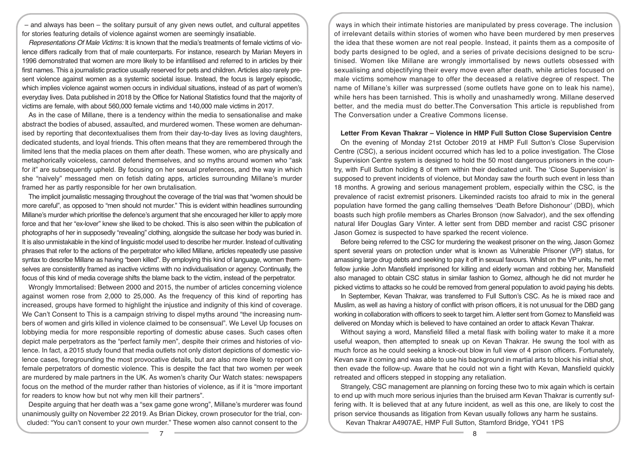– and always has been – the solitary pursuit of any given news outlet, and cultural appetites for stories featuring details of violence against women are seemingly insatiable.

Representations Of Male Victims: It is known that the media's treatments of female victims of violence differs radically from that of male counterparts. For instance, research by Marian Meyers in 1996 demonstrated that women are more likely to be infantilised and referred to in articles by their first names. This a journalistic practice usually reserved for pets and children. Articles also rarely present violence against women as a systemic societal issue. Instead, the focus is largely episodic, which implies violence against women occurs in individual situations, instead of as part of women's everyday lives. Data published in 2018 by the Office for National Statistics found that the majority of victims are female, with about 560,000 female victims and 140,000 male victims in 2017.

As in the case of Millane, there is a tendency within the media to sensationalise and make abstract the bodies of abused, assaulted, and murdered women. These women are dehumanised by reporting that decontextualises them from their day-to-day lives as loving daughters, dedicated students, and loyal friends. This often means that they are remembered through the limited lens that the media places on them after death. These women, who are physically and metaphorically voiceless, cannot defend themselves, and so myths around women who "ask for it" are subsequently upheld. By focusing on her sexual preferences, and the way in which she "naively" messaged men on fetish dating apps, articles surrounding Millane's murder framed her as partly responsible for her own brutalisation.

The implicit journalistic messaging throughout the coverage of the trial was that "women should be more careful", as opposed to "men should not murder." This is evident within headlines surrounding Millane's murder which prioritise the defence's argument that she encouraged her killer to apply more force and that her "ex-lover" knew she liked to be choked. This is also seen within the publication of photographs of her in supposedly "revealing" clothing, alongside the suitcase her body was buried in. It is also unmistakable in the kind of linguistic model used to describe her murder. Instead of cultivating phrases that refer to the actions of the perpetrator who killed Millane, articles repeatedly use passive syntax to describe Millane as having "been killed". By employing this kind of language, women themselves are consistently framed as inactive victims with no individualisation or agency. Continually, the focus of this kind of media coverage shifts the blame back to the victim, instead of the perpetrator.

Wrongly Immortalised: Between 2000 and 2015, the number of articles concerning violence against women rose from 2,000 to 25,000. As the frequency of this kind of reporting has increased, groups have formed to highlight the injustice and indignity of this kind of coverage. We Can't Consent to This is a campaign striving to dispel myths around "the increasing numbers of women and girls killed in violence claimed to be consensual". We Level Up focuses on lobbying media for more responsible reporting of domestic abuse cases. Such cases often depict male perpetrators as the "perfect family men", despite their crimes and histories of violence. In fact, a 2015 study found that media outlets not only distort depictions of domestic violence cases, foregrounding the most provocative details, but are also more likely to report on female perpetrators of domestic violence. This is despite the fact that two women per week are murdered by male partners in the UK. As women's charity Our Watch states: newspapers focus on the method of the murder rather than histories of violence, as if it is "more important for readers to know how but not why men kill their partners".

Despite arguing that her death was a "sex game gone wrong", Millane's murderer was found unanimously guilty on November 22 2019. As Brian Dickey, crown prosecutor for the trial, concluded: "You can't consent to your own murder." These women also cannot consent to the

ways in which their intimate histories are manipulated by press coverage. The inclusion of irrelevant details within stories of women who have been murdered by men preserves the idea that these women are not real people. Instead, it paints them as a composite of body parts designed to be ogled, and a series of private decisions designed to be scrutinised. Women like Millane are wrongly immortalised by news outlets obsessed with sexualising and objectifying their every move even after death, while articles focused on male victims somehow manage to offer the deceased a relative degree of respect. The name of Millane's killer was surpressed (some outlets have gone on to leak his name), while hers has been tarnished. This is wholly and unashamedly wrong. Millane deserved better, and the media must do better.The Conversation This article is republished from The Conversation under a Creative Commons license.

### **Letter From Kevan Thakrar – Violence in HMP Full Sutton Close Supervision Centre**

On the evening of Monday 21st October 2019 at HMP Full Sutton's Close Supervision Centre (CSC), a serious incident occurred which has led to a police investigation. The Close Supervision Centre system is designed to hold the 50 most dangerous prisoners in the country, with Full Sutton holding 8 of them within their dedicated unit. The 'Close Supervision' is supposed to prevent incidents of violence, but Monday saw the fourth such event in less than 18 months. A growing and serious management problem, especially within the CSC, is the prevalence of racist extremist prisoners. Likeminded racists too afraid to mix in the general population have formed the gang calling themselves 'Death Before Dishonour' (DBD), which boasts such high profile members as Charles Bronson (now Salvador), and the sex offending natural lifer Douglas Gary Vinter. A letter sent from DBD member and racist CSC prisoner Jason Gomez is suspected to have sparked the recent violence.

Before being referred to the CSC for murdering the weakest prisoner on the wing, Jason Gomez spent several years on protection under what is known as Vulnerable Prisoner (VP) status, for amassing large drug debts and seeking to pay it off in sexual favours. Whilst on the VP units, he met fellow junkie John Mansfield imprisoned for killing and elderly woman and robbing her, Mansfield also managed to obtain CSC status in similar fashion to Gomez, although he did not murder he picked victims to attacks so he could be removed from general population to avoid paying his debts.

In September, Kevan Thakrar, was transferred to Full Sutton's CSC. As he is mixed race and Muslim, as well as having a history of conflict with prison officers, it is not unusual for the DBD gang working in collaboration with officers to seek to target him. A letter sent from Gomez to Mansfield was delivered on Monday which is believed to have contained an order to attack Kevan Thakrar.

Without saying a word, Mansfield filled a metal flask with boiling water to make it a more useful weapon, then attempted to sneak up on Kevan Thakrar. He swung the tool with as much force as he could seeking a knock-out blow in full view of 4 prison officers. Fortunately, Kevan saw it coming and was able to use his background in martial arts to block his initial shot, then evade the follow-up. Aware that he could not win a fight with Kevan, Mansfield quickly retreated and officers stepped in stopping any retaliation.

Strangely, CSC management are planning on forcing these two to mix again which is certain to end up with much more serious injuries than the bruised arm Kevan Thakrar is currently suffering with. It is believed that at any future incident, as well as this one, are likely to cost the prison service thousands as litigation from Kevan usually follows any harm he sustains. Kevan Thakrar A4907AE, HMP Full Sutton, Stamford Bridge, YO41 1PS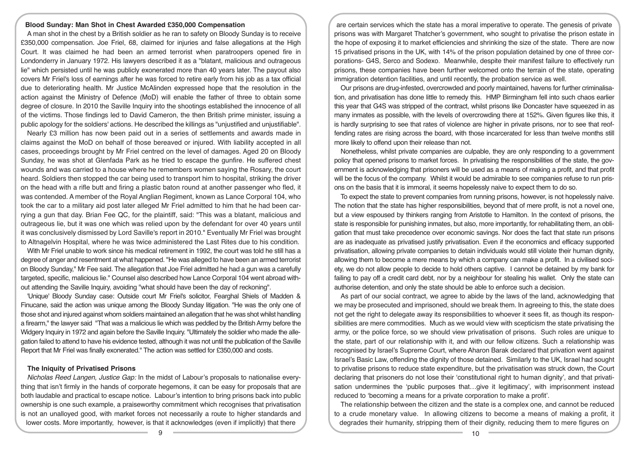#### **Blood Sunday: Man Shot in Chest Awarded £350,000 Compensation**

A man shot in the chest by a British soldier as he ran to safety on Bloody Sunday is to receive £350,000 compensation. Joe Friel, 68, claimed for injuries and false allegations at the High Court. It was claimed he had been an armed terrorist when paratroopers opened fire in Londonderry in January 1972. His lawyers described it as a "blatant, malicious and outrageous lie" which persisted until he was publicly exonerated more than 40 years later. The payout also covers Mr Friel's loss of earnings after he was forced to retire early from his job as a tax official due to deteriorating health. Mr Justice McAlinden expressed hope that the resolution in the action against the Ministry of Defence (MoD) will enable the father of three to obtain some degree of closure. In 2010 the Saville Inquiry into the shootings established the innocence of all of the victims. Those findings led to David Cameron, the then British prime minister, issuing a public apology for the soldiers' actions. He described the killings as "unjustified and unjustifiable".

Nearly £3 million has now been paid out in a series of settlements and awards made in claims against the MoD on behalf of those bereaved or injured. With liability accepted in all cases, proceedings brought by Mr Friel centred on the level of damages. Aged 20 on Bloody Sunday, he was shot at Glenfada Park as he tried to escape the gunfire. He suffered chest wounds and was carried to a house where he remembers women saying the Rosary, the court heard. Soldiers then stopped the car being used to transport him to hospital, striking the driver on the head with a rifle butt and firing a plastic baton round at another passenger who fled, it was contended. A member of the Royal Anglian Regiment, known as Lance Corporal 104, who took the car to a military aid post later alleged Mr Friel admitted to him that he had been carrying a gun that day. Brian Fee QC, for the plaintiff, said: "This was a blatant, malicious and outrageous lie, but it was one which was relied upon by the defendant for over 40 years until it was conclusively dismissed by Lord Saville's report in 2010." Eventually Mr Friel was brought to Altnagelvin Hospital, where he was twice administered the Last Rites due to his condition.

With Mr Friel unable to work since his medical retirement in 1992, the court was told he still has a degree of anger and resentment at what happened. "He was alleged to have been an armed terrorist on Bloody Sunday," Mr Fee said. The allegation that Joe Friel admitted he had a gun was a carefully targeted, specific, malicious lie." Counsel also described how Lance Corporal 104 went abroad without attending the Saville Inquiry, avoiding "what should have been the day of reckoning".

'Unique' Bloody Sunday case: Outside court Mr Friel's solicitor, Fearghal Shiels of Madden & Finucane, said the action was unique among the Bloody Sunday litigation. "He was the only one of those shot and injured against whom soldiers maintained an allegation that he was shot whilst handling a firearm," the lawyer said "That was a malicious lie which was peddled by the British Army before the Widgery Inquiry in 1972 and again before the Saville Inquiry. "Ultimately the soldier who made the allegation failed to attend to have his evidence tested, although it was not until the publication of the Saville Report that Mr Friel was finally exonerated." The action was settled for £350,000 and costs.

#### **The Iniquity of Privatised Prisons**

Nicholas Reed Langen, Justice Gap: In the midst of Labour's proposals to nationalise everything that isn't firmly in the hands of corporate hegemons, it can be easy for proposals that are both laudable and practical to escape notice. Labour's intention to bring prisons back into public ownership is one such example, a praiseworthy commitment which recognises that privatisation is not an unalloyed good, with market forces not necessarily a route to higher standards and lower costs. More importantly, however, is that it acknowledges (even if implicitly) that there

are certain services which the state has a moral imperative to operate. The genesis of private prisons was with Margaret Thatcher's government, who sought to privatise the prison estate in the hope of exposing it to market efficiencies and shrinking the size of the state. There are now 15 privatised prisons in the UK, with 14% of the prison population detained by one of three corporations- G4S, Serco and Sodexo. Meanwhile, despite their manifest failure to effectively run prisons, these companies have been further welcomed onto the terrain of the state, operating immigration detention facilities, and until recently, the probation service as well.

Our prisons are drug-infested, overcrowded and poorly maintained, havens for further criminalisation, and privatisation has done little to remedy this. HMP Birmingham fell into such chaos earlier this year that G4S was stripped of the contract, whilst prisons like Doncaster have squeezed in as many inmates as possible, with the levels of overcrowding there at 152%. Given figures like this, it is hardly surprising to see that rates of violence are higher in private prisons, nor to see that reoffending rates are rising across the board, with those incarcerated for less than twelve months still more likely to offend upon their release than not.

Nonetheless, whilst private companies are culpable, they are only responding to a government policy that opened prisons to market forces. In privatising the responsibilities of the state, the government is acknowledging that prisoners will be used as a means of making a profit, and that profit will be the focus of the company. Whilst it would be admirable to see companies refuse to run prisons on the basis that it is immoral, it seems hopelessly naive to expect them to do so.

To expect the state to prevent companies from running prisons, however, is not hopelessly naive. The notion that the state has higher responsibilities, beyond that of mere profit, is not a novel one, but a view espoused by thinkers ranging from Aristotle to Hamilton. In the context of prisons, the state is responsible for punishing inmates, but also, more importantly, for rehabilitating them, an obligation that must take precedence over economic savings. Nor does the fact that state run prisons are as inadequate as privatised justify privatisation. Even if the economics and efficacy supported privatisation, allowing private companies to detain individuals would still violate their human dignity, allowing them to become a mere means by which a company can make a profit. In a civilised society, we do not allow people to decide to hold others captive. I cannot be detained by my bank for failing to pay off a credit card debt, nor by a neighbour for stealing his wallet. Only the state can authorise detention, and only the state should be able to enforce such a decision.

As part of our social contract, we agree to abide by the laws of the land, acknowledging that we may be prosecuted and imprisoned, should we break them. In agreeing to this, the state does not get the right to delegate away its responsibilities to whoever it sees fit, as though its responsibilities are mere commodities. Much as we would view with scepticism the state privatising the army, or the police force, so we should view privatisation of prisons. Such roles are unique to the state, part of our relationship with it, and with our fellow citizens. Such a relationship was recognised by Israel's Supreme Court, where Aharon Barak declared that privation went against Israel's Basic Law, offending the dignity of those detained. Similarly to the UK, Israel had sought to privatise prisons to reduce state expenditure, but the privatisation was struck down, the Court declaring that prisoners do not lose their 'constitutional right to human dignity', and that privatisation undermines the 'public purposes that…give it legitimacy', with imprisonment instead reduced to 'becoming a means for a private corporation to make a profit'.

The relationship between the citizen and the state is a complex one, and cannot be reduced to a crude monetary value. In allowing citizens to become a means of making a profit, it degrades their humanity, stripping them of their dignity, reducing them to mere figures on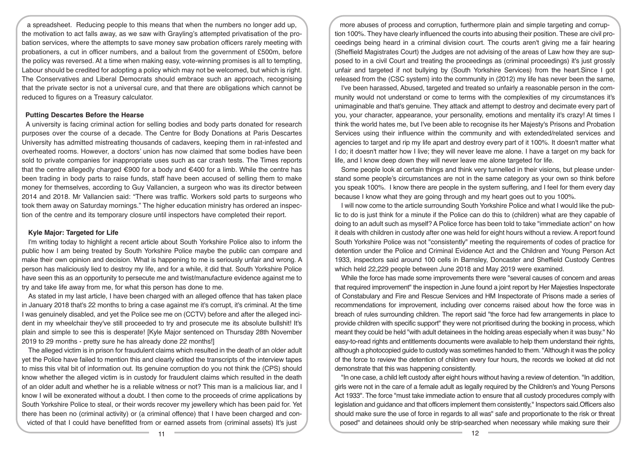a spreadsheet. Reducing people to this means that when the numbers no longer add up, the motivation to act falls away, as we saw with Grayling's attempted privatisation of the probation services, where the attempts to save money saw probation officers rarely meeting with probationers, a cut in officer numbers, and a bailout from the government of £500m, before the policy was reversed. At a time when making easy, vote-winning promises is all to tempting, Labour should be credited for adopting a policy which may not be welcomed, but which is right. The Conservatives and Liberal Democrats should embrace such an approach, recognising that the private sector is not a universal cure, and that there are obligations which cannot be reduced to figures on a Treasury calculator.

#### **Putting Descartes Before the Hearse**

A university is facing criminal action for selling bodies and body parts donated for research purposes over the course of a decade. The Centre for Body Donations at Paris Descartes University has admitted mistreating thousands of cadavers, keeping them in rat-infested and overheated rooms. However, a doctors' union has now claimed that some bodies have been sold to private companies for inappropriate uses such as car crash tests. The Times reports that the centre allegedly charged €900 for a body and €400 for a limb. While the centre has been trading in body parts to raise funds, staff have been accused of selling them to make money for themselves, according to Guy Vallancien, a surgeon who was its director between 2014 and 2018. Mr Vallancien said: "There was traffic. Workers sold parts to surgeons who took them away on Saturday mornings." The higher education ministry has ordered an inspection of the centre and its temporary closure until inspectors have completed their report.

# **Kyle Major: Targeted for Life**

I'm writing today to highlight a recent article about South Yorkshire Police also to inform the public how I am being treated by South Yorkshire Police maybe the public can compare and make their own opinion and decision. What is happening to me is seriously unfair and wrong. A person has maliciously lied to destroy my life, and for a while, it did that. South Yorkshire Police have seen this as an opportunity to persecute me and twist/manufacture evidence against me to try and take life away from me, for what this person has done to me.

As stated in my last article, I have been charged with an alleged offence that has taken place in January 2018 that's 22 months to bring a case against me it's corrupt, it's criminal. At the time I was genuinely disabled, and yet the Police see me on (CCTV) before and after the alleged incident in my wheelchair they've still proceeded to try and prosecute me its absolute bullshit! It's plain and simple to see this is desperate! [Kyle Major sentenced on Thursday 28th November 2019 to 29 months - pretty sure he has already done 22 months!]

The alleged victim is in prison for fraudulent claims which resulted in the death of an older adult yet the Police have failed to mention this and clearly edited the transcripts of the interview tapes to miss this vital bit of information out. Its genuine corruption do you not think the (CPS) should know whether the alleged victim is in custody for fraudulent claims which resulted in the death of an older adult and whether he is a reliable witness or not? This man is a malicious liar, and I know I will be exonerated without a doubt. I then come to the proceeds of crime applications by South Yorkshire Police to steal, or their words recover my jewellery which has been paid for. Yet there has been no (criminal activity) or (a criminal offence) that I have been charged and convicted of that I could have benefitted from or earned assets from (criminal assets) It's just

more abuses of process and corruption, furthermore plain and simple targeting and corruption 100%. They have clearly influenced the courts into abusing their position. These are civil proceedings being heard in a criminal division court. The courts aren't giving me a fair hearing (Sheffield Magistrates Court) the Judges are not advising of the areas of Law how they are supposed to in a civil Court and treating the proceedings as (criminal proceedings) it's just grossly unfair and targeted if not bullying by (South Yorkshire Services) from the heart.Since I got released from the (CSC system) into the community in (2012) my life has never been the same,

I've been harassed, Abused, targeted and treated so unfairly a reasonable person in the community would not understand or come to terms with the complexities of my circumstances it's unimaginable and that's genuine. They attack and attempt to destroy and decimate every part of you, your character, appearance, your personality, emotions and mentality it's crazy! At times I think the world hates me, but I've been able to recognise its her Majesty's Prisons and Probation Services using their influence within the community and with extended/related services and agencies to target and rip my life apart and destroy every part of it 100%. It doesn't matter what I do; it doesn't matter how I live; they will never leave me alone. I have a target on my back for life, and I know deep down they will never leave me alone targeted for life.

Some people look at certain things and think very tunnelled in their visions, but please understand some people's circumstances are not in the same category as your own so think before you speak 100%. I know there are people in the system suffering, and I feel for them every day because I know what they are going through and my heart goes out to you 100%.

I will now come to the article surrounding South Yorkshire Police and what I would like the public to do is just think for a minute if the Police can do this to (children) what are they capable of doing to an adult such as myself? A Police force has been told to take "immediate action" on how it deals with children in custody after one was held for eight hours without a review. A report found South Yorkshire Police was not "consistently" meeting the requirements of codes of practice for detention under the Police and Criminal Evidence Act and the Children and Young Person Act 1933, inspectors said around 100 cells in Barnsley, Doncaster and Sheffield Custody Centres which held 22,229 people between June 2018 and May 2019 were examined.

While the force has made some improvements there were "several causes of concern and areas that required improvement" the inspection in June found a joint report by Her Majesties Inspectorate of Constabulary and Fire and Rescue Services and HM Inspectorate of Prisons made a series of recommendations for improvement, including over concerns raised about how the force was in breach of rules surrounding children. The report said "the force had few arrangements in place to provide children with specific support" they were not prioritised during the booking in process, which meant they could be held "with adult detainees in the holding areas especially when it was busy." No easy-to-read rights and entitlements documents were available to help them understand their rights, although a photocopied guide to custody was sometimes handed to them. "Although it was the policy of the force to review the detention of children every four hours, the records we looked at did not demonstrate that this was happening consistently.

"In one case, a child left custody after eight hours without having a review of detention. "In addition, girls were not in the care of a female adult as legally required by the Children's and Young Persons Act 1933". The force "must take immediate action to ensure that all custody procedures comply with legislation and guidance and that officers implement them consistently," Inspectors said.Officers also should make sure the use of force in regards to all was" safe and proportionate to the risk or threat posed" and detainees should only be strip-searched when necessary while making sure their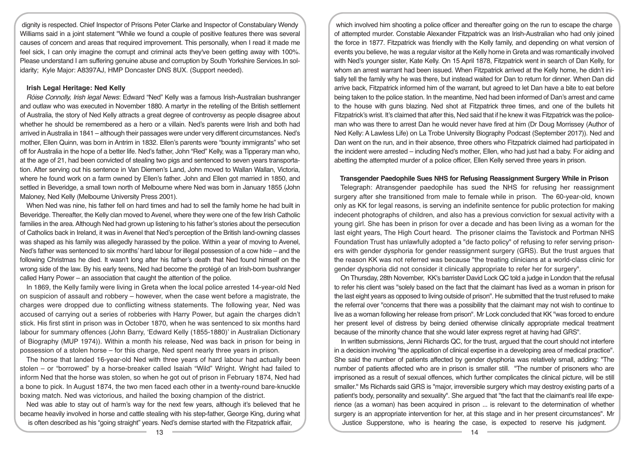dignity is respected. Chief Inspector of Prisons Peter Clarke and Inspector of Constabulary Wendy Williams said in a joint statement "While we found a couple of positive features there was several causes of concern and areas that required improvement. This personally, when I read it made me feel sick, I can only imagine the corrupt and criminal acts they've been getting away with 100%. Please understand I am suffering genuine abuse and corruption by South Yorkshire Services.In solidarity; Kyle Major: A8397AJ, HMP Doncaster DNS 8UX. (Support needed).

# **Irish Legal Heritage: Ned Kelly**

Róise Connolly, Irish legal News: Edward "Ned" Kelly was a famous Irish-Australian bushranger and outlaw who was executed in November 1880. A martyr in the retelling of the British settlement of Australia, the story of Ned Kelly attracts a great degree of controversy as people disagree about whether he should be remembered as a hero or a villain. Ned's parents were Irish and both had arrived in Australia in 1841 – although their passages were under very different circumstances. Ned's mother, Ellen Quinn, was born in Antrim in 1832. Ellen's parents were "bounty immigrants" who set off for Australia in the hope of a better life. Ned's father, John "Red" Kelly, was a Tipperary man who, at the age of 21, had been convicted of stealing two pigs and sentenced to seven years transportation. After serving out his sentence in Van Diemen's Land, John moved to Wallan Wallan, Victoria, where he found work on a farm owned by Ellen's father. John and Ellen got married in 1850, and settled in Beveridge, a small town north of Melbourne where Ned was born in January 1855 (John Maloney, Ned Kelly (Melbourne University Press 2001).

When Ned was nine, his father fell on hard times and had to sell the family home he had built in Beveridge. Thereafter, the Kelly clan moved to Avenel, where they were one of the few Irish Catholic families in the area. Although Ned had grown up listening to his father's stories about the persecution of Catholics back in Ireland, it was in Avenel that Ned's perception of the British land-owning classes was shaped as his family was allegedly harassed by the police. Within a year of moving to Avenel, Ned's father was sentenced to six months' hard labour for illegal possession of a cow hide – and the following Christmas he died. It wasn't long after his father's death that Ned found himself on the wrong side of the law. By his early teens, Ned had become the protégé of an Irish-born bushranger called Harry Power – an association that caught the attention of the police.

In 1869, the Kelly family were living in Greta when the local police arrested 14-year-old Ned on suspicion of assault and robbery – however, when the case went before a magistrate, the charges were dropped due to conflicting witness statements. The following year, Ned was accused of carrying out a series of robberies with Harry Power, but again the charges didn't stick. His first stint in prison was in October 1870, when he was sentenced to six months hard labour for summary offences (John Barry, 'Edward Kelly (1855-1880)' in Australian Dictionary of Biography (MUP 1974)). Within a month his release, Ned was back in prison for being in possession of a stolen horse – for this charge, Ned spent nearly three years in prison.

The horse that landed 16-year-old Ned with three years of hard labour had actually been stolen – or "borrowed" by a horse-breaker called Isaiah "Wild" Wright. Wright had failed to inform Ned that the horse was stolen, so when he got out of prison in February 1874, Ned had a bone to pick. In August 1874, the two men faced each other in a twenty-round bare-knuckle boxing match. Ned was victorious, and hailed the boxing champion of the district.

Ned was able to stay out of harm's way for the next few years, although it's believed that he became heavily involved in horse and cattle stealing with his step-father, George King, during what is often described as his "going straight" years. Ned's demise started with the Fitzpatrick affair,

which involved him shooting a police officer and thereafter going on the run to escape the charge of attempted murder. Constable Alexander Fitzpatrick was an Irish-Australian who had only joined the force in 1877. Fitzpatrick was friendly with the Kelly family, and depending on what version of events you believe, he was a regular visitor at the Kelly home in Greta and was romantically involved with Ned's younger sister, Kate Kelly. On 15 April 1878, Fitzpatrick went in search of Dan Kelly, for whom an arrest warrant had been issued. When Fitzpatrick arrived at the Kelly home, he didn't initially tell the family why he was there, but instead waited for Dan to return for dinner. When Dan did arrive back, Fitzpatrick informed him of the warrant, but agreed to let Dan have a bite to eat before being taken to the police station. In the meantime, Ned had been informed of Dan's arrest and came to the house with guns blazing. Ned shot at Fitzpatrick three times, and one of the bullets hit Fitzpatrick's wrist. It's claimed that after this, Ned said that if he knew it was Fitzpatrick was the policeman who was there to arrest Dan he would never have fired at him (Dr Doug Morrissey (Author of Ned Kelly: A Lawless Life) on La Trobe University Biography Podcast (September 2017)). Ned and Dan went on the run, and in their absence, three others who Fitzpatrick claimed had participated in the incident were arrested – including Ned's mother, Ellen, who had just had a baby. For aiding and abetting the attempted murder of a police officer, Ellen Kelly served three years in prison.

### **Transgender Paedophile Sues NHS for Refusing Reassignment Surgery While in Prison**

Telegraph: Atransgender paedophile has sued the NHS for refusing her reassignment surgery after she transitioned from male to female while in prison. The 60-year-old, known only as KK for legal reasons, is serving an indefinite sentence for public protection for making indecent photographs of children, and also has a previous conviction for sexual activity with a young girl. She has been in prison for over a decade and has been living as a woman for the last eight years, The High Court heard. The prisoner claims the Tavistock and Portman NHS Foundation Trust has unlawfully adopted a "de facto policy" of refusing to refer serving prisoners with gender dysphoria for gender reassignment surgery (GRS). But the trust argues that the reason KK was not referred was because "the treating clinicians at a world-class clinic for gender dysphoria did not consider it clinically appropriate to refer her for surgery".

On Thursday, 28th November, KK's barrister David Lock QC told a judge in London that the refusal to refer his client was "solely based on the fact that the claimant has lived as a woman in prison for the last eight years as opposed to living outside of prison". He submitted that the trust refused to make the referral over "concerns that there was a possibility that the claimant may not wish to continue to live as a woman following her release from prison". Mr Lock concluded that KK "was forced to endure her present level of distress by being denied otherwise clinically appropriate medical treatment because of the minority chance that she would later express regret at having had GRS".

In written submissions, Jenni Richards QC, for the trust, argued that the court should not interfere in a decision involving "the application of clinical expertise in a developing area of medical practice". She said the number of patients affected by gender dysphoria was relatively small, adding: "The number of patients affected who are in prison is smaller still. "The number of prisoners who are imprisoned as a result of sexual offences, which further complicates the clinical picture, will be still smaller." Ms Richards said GRS is "major, irreversible surgery which may destroy existing parts of a patient's body, personality and sexuality". She argued that "the fact that the claimant's real life experience (as a woman) has been acquired in prison ... is relevant to the determination of whether surgery is an appropriate intervention for her, at this stage and in her present circumstances". Mr Justice Supperstone, who is hearing the case, is expected to reserve his judgment.